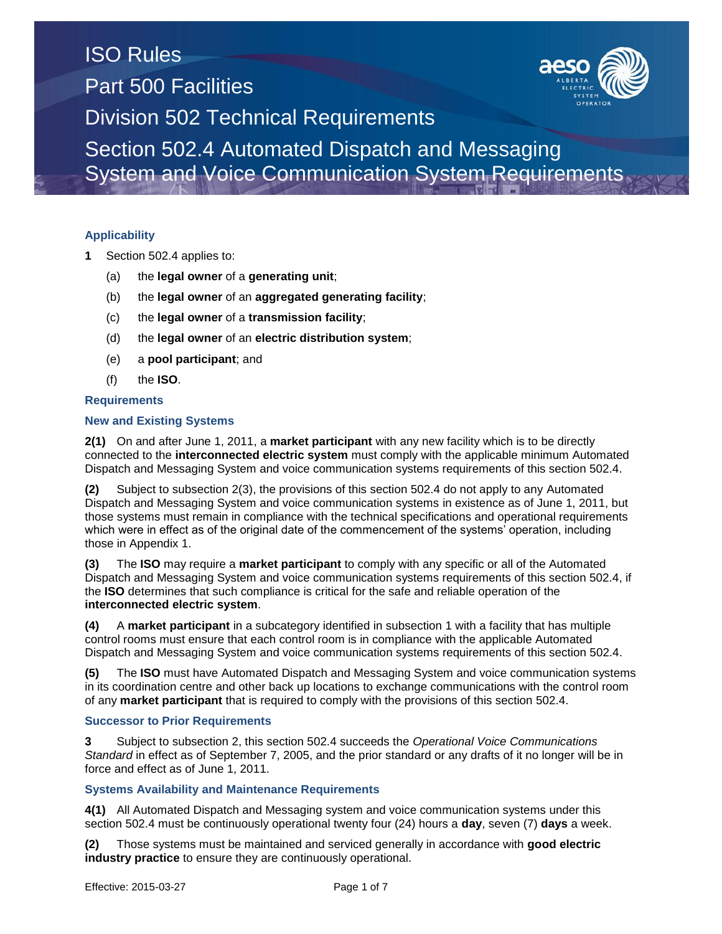System and Voice Communication System Requirements

### **Applicability**

- **1** Section 502.4 applies to:
	- (a) the **legal owner** of a **generating unit**;
	- (b) the **legal owner** of an **aggregated generating facility**;
	- (c) the **legal owner** of a **transmission facility**;
	- (d) the **legal owner** of an **electric distribution system**;
	- (e) a **pool participant**; and
	- (f) the **ISO**.

### **Requirements**

### **New and Existing Systems**

**2(1)** On and after June 1, 2011, a **market participant** with any new facility which is to be directly connected to the **interconnected electric system** must comply with the applicable minimum Automated Dispatch and Messaging System and voice communication systems requirements of this section 502.4.

**(2)** Subject to subsection 2(3), the provisions of this section 502.4 do not apply to any Automated Dispatch and Messaging System and voice communication systems in existence as of June 1, 2011, but those systems must remain in compliance with the technical specifications and operational requirements which were in effect as of the original date of the commencement of the systems' operation, including those in Appendix 1.

**(3)** The **ISO** may require a **market participant** to comply with any specific or all of the Automated Dispatch and Messaging System and voice communication systems requirements of this section 502.4, if the **ISO** determines that such compliance is critical for the safe and reliable operation of the **interconnected electric system**.

**(4)** A **market participant** in a subcategory identified in subsection 1 with a facility that has multiple control rooms must ensure that each control room is in compliance with the applicable Automated Dispatch and Messaging System and voice communication systems requirements of this section 502.4.

**(5)** The **ISO** must have Automated Dispatch and Messaging System and voice communication systems in its coordination centre and other back up locations to exchange communications with the control room of any **market participant** that is required to comply with the provisions of this section 502.4.

### **Successor to Prior Requirements**

**3** Subject to subsection 2, this section 502.4 succeeds the *Operational Voice Communications Standard* in effect as of September 7, 2005, and the prior standard or any drafts of it no longer will be in force and effect as of June 1, 2011.

### **Systems Availability and Maintenance Requirements**

**4(1)** All Automated Dispatch and Messaging system and voice communication systems under this section 502.4 must be continuously operational twenty four (24) hours a **day**, seven (7) **days** a week.

**(2)** Those systems must be maintained and serviced generally in accordance with **good electric industry practice** to ensure they are continuously operational.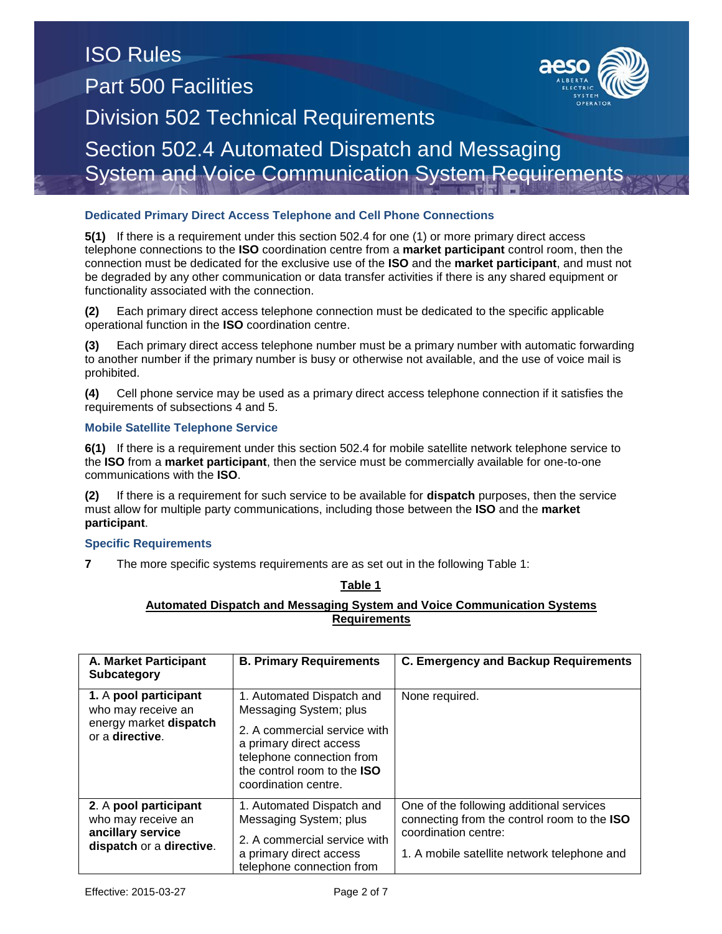### ISO Rules Part 500 Facilities Division 502 Technical Requirements Section 502.4 Automated Dispatch and Messaging System and Voice Communication System Requirements

### **Dedicated Primary Direct Access Telephone and Cell Phone Connections**

**5(1)** If there is a requirement under this section 502.4 for one (1) or more primary direct access telephone connections to the **ISO** coordination centre from a **market participant** control room, then the connection must be dedicated for the exclusive use of the **ISO** and the **market participant**, and must not be degraded by any other communication or data transfer activities if there is any shared equipment or functionality associated with the connection.

**(2)** Each primary direct access telephone connection must be dedicated to the specific applicable operational function in the **ISO** coordination centre.

**(3)** Each primary direct access telephone number must be a primary number with automatic forwarding to another number if the primary number is busy or otherwise not available, and the use of voice mail is prohibited.

**(4)** Cell phone service may be used as a primary direct access telephone connection if it satisfies the requirements of subsections 4 and 5.

#### **Mobile Satellite Telephone Service**

**6(1)** If there is a requirement under this section 502.4 for mobile satellite network telephone service to the **ISO** from a **market participant**, then the service must be commercially available for one-to-one communications with the **ISO**.

**(2)** If there is a requirement for such service to be available for **dispatch** purposes, then the service must allow for multiple party communications, including those between the **ISO** and the **market participant**.

### **Specific Requirements**

**7** The more specific systems requirements are as set out in the following Table 1:

**Table 1**

### **Automated Dispatch and Messaging System and Voice Communication Systems Requirements**

| <b>A. Market Participant</b><br><b>Subcategory</b>                                           | <b>B. Primary Requirements</b>                                                                                                                                                                            | <b>C. Emergency and Backup Requirements</b>                                                                                                                    |
|----------------------------------------------------------------------------------------------|-----------------------------------------------------------------------------------------------------------------------------------------------------------------------------------------------------------|----------------------------------------------------------------------------------------------------------------------------------------------------------------|
| 1. A pool participant<br>who may receive an<br>energy market dispatch<br>or a directive.     | 1. Automated Dispatch and<br>Messaging System; plus<br>2. A commercial service with<br>a primary direct access<br>telephone connection from<br>the control room to the <b>ISO</b><br>coordination centre. | None required.                                                                                                                                                 |
| 2. A pool participant<br>who may receive an<br>ancillary service<br>dispatch or a directive. | 1. Automated Dispatch and<br>Messaging System; plus<br>2. A commercial service with<br>a primary direct access<br>telephone connection from                                                               | One of the following additional services<br>connecting from the control room to the ISO<br>coordination centre:<br>1. A mobile satellite network telephone and |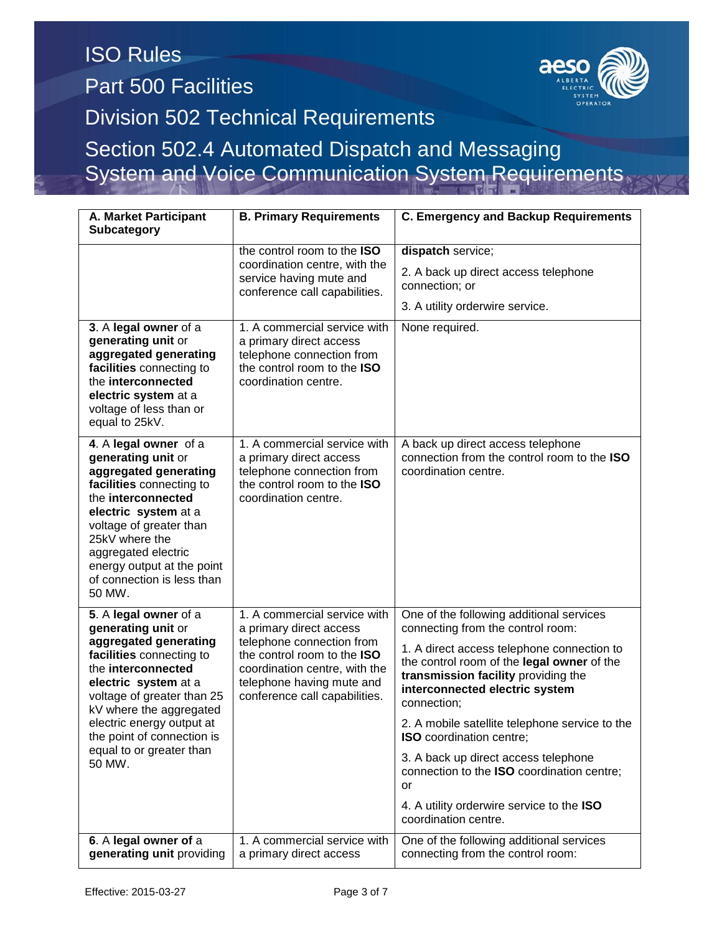System and Voice Communication System Requirements

**A. Market Participant Subcategory B. Primary Requirements C. Emergency and Backup Requirements**  the control room to the **ISO**  coordination centre, with the service having mute and conference call capabilities. **dispatch** service; 2. A back up direct access telephone connection; or 3. A utility orderwire service. **3**. A **legal owner** of a **generating unit** or **aggregated generating facilities** connecting to the **interconnected electric system** at a voltage of less than or equal to 25kV. 1. A commercial service with a primary direct access telephone connection from the control room to the **ISO**  coordination centre. None required. **4**. A **legal owner** of a **generating unit** or **aggregated generating facilities** connecting to the **interconnected electric system** at a voltage of greater than 25kV where the aggregated electric energy output at the point of connection is less than 50 MW. 1. A commercial service with a primary direct access telephone connection from the control room to the **ISO** coordination centre. A back up direct access telephone connection from the control room to the **ISO** coordination centre. **5**. A **legal owner** of a **generating unit** or **aggregated generating facilities** connecting to the **interconnected electric system** at a voltage of greater than 25 kV where the aggregated electric energy output at the point of connection is equal to or greater than 50 MW. 1. A commercial service with a primary direct access telephone connection from the control room to the **ISO**  coordination centre, with the telephone having mute and conference call capabilities. One of the following additional services connecting from the control room: 1. A direct access telephone connection to the control room of the **legal owner** of the **transmission facility** providing the **interconnected electric system**  connection; 2. A mobile satellite telephone service to the **ISO** coordination centre; 3. A back up direct access telephone connection to the **ISO** coordination centre; or 4. A utility orderwire service to the **ISO**  coordination centre. **6**. A **legal owner of** a **generating unit** providing 1. A commercial service with a primary direct access One of the following additional services connecting from the control room: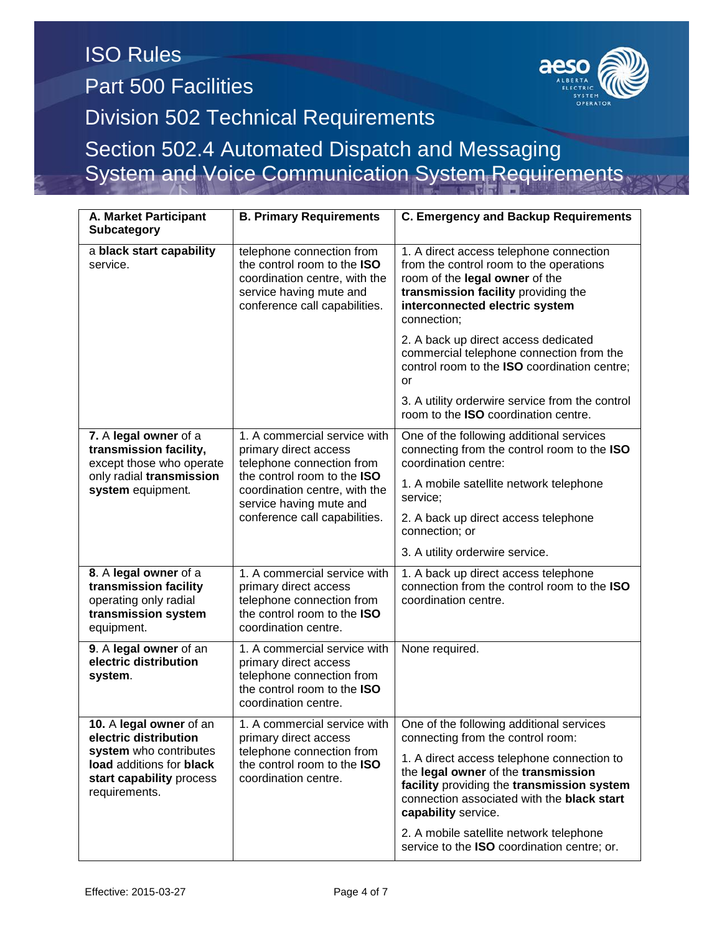System and Voice Communication System Requirements

| A. Market Participant<br><b>Subcategory</b>                                                                                                         | <b>B. Primary Requirements</b>                                                                                                                                                                                 | <b>C. Emergency and Backup Requirements</b>                                                                                                                                                                  |  |
|-----------------------------------------------------------------------------------------------------------------------------------------------------|----------------------------------------------------------------------------------------------------------------------------------------------------------------------------------------------------------------|--------------------------------------------------------------------------------------------------------------------------------------------------------------------------------------------------------------|--|
| a black start capability<br>service.                                                                                                                | telephone connection from<br>the control room to the <b>ISO</b><br>coordination centre, with the<br>service having mute and<br>conference call capabilities.                                                   | 1. A direct access telephone connection<br>from the control room to the operations<br>room of the legal owner of the<br>transmission facility providing the<br>interconnected electric system<br>connection; |  |
|                                                                                                                                                     |                                                                                                                                                                                                                | 2. A back up direct access dedicated<br>commercial telephone connection from the<br>control room to the ISO coordination centre;<br>or                                                                       |  |
|                                                                                                                                                     |                                                                                                                                                                                                                | 3. A utility orderwire service from the control<br>room to the <b>ISO</b> coordination centre.                                                                                                               |  |
| 7. A legal owner of a<br>transmission facility,<br>except those who operate<br>only radial transmission<br>system equipment.                        | 1. A commercial service with<br>primary direct access<br>telephone connection from<br>the control room to the ISO<br>coordination centre, with the<br>service having mute and<br>conference call capabilities. | One of the following additional services<br>connecting from the control room to the ISO<br>coordination centre:                                                                                              |  |
|                                                                                                                                                     |                                                                                                                                                                                                                | 1. A mobile satellite network telephone<br>service:                                                                                                                                                          |  |
|                                                                                                                                                     |                                                                                                                                                                                                                | 2. A back up direct access telephone<br>connection; or                                                                                                                                                       |  |
|                                                                                                                                                     |                                                                                                                                                                                                                | 3. A utility orderwire service.                                                                                                                                                                              |  |
| 8. A legal owner of a<br>transmission facility<br>operating only radial<br>transmission system<br>equipment.                                        | 1. A commercial service with<br>primary direct access<br>telephone connection from<br>the control room to the ISO<br>coordination centre.                                                                      | 1. A back up direct access telephone<br>connection from the control room to the ISO<br>coordination centre.                                                                                                  |  |
| 9. A legal owner of an<br>electric distribution<br>system.                                                                                          | 1. A commercial service with<br>primary direct access<br>telephone connection from<br>the control room to the ISO<br>coordination centre.                                                                      | None required.                                                                                                                                                                                               |  |
| 10. A legal owner of an<br>electric distribution<br>system who contributes<br>load additions for black<br>start capability process<br>requirements. | 1. A commercial service with<br>primary direct access<br>telephone connection from<br>the control room to the ISO<br>coordination centre.                                                                      | One of the following additional services<br>connecting from the control room:                                                                                                                                |  |
|                                                                                                                                                     |                                                                                                                                                                                                                | 1. A direct access telephone connection to<br>the legal owner of the transmission<br>facility providing the transmission system<br>connection associated with the black start<br>capability service.         |  |
|                                                                                                                                                     |                                                                                                                                                                                                                | 2. A mobile satellite network telephone<br>service to the ISO coordination centre; or.                                                                                                                       |  |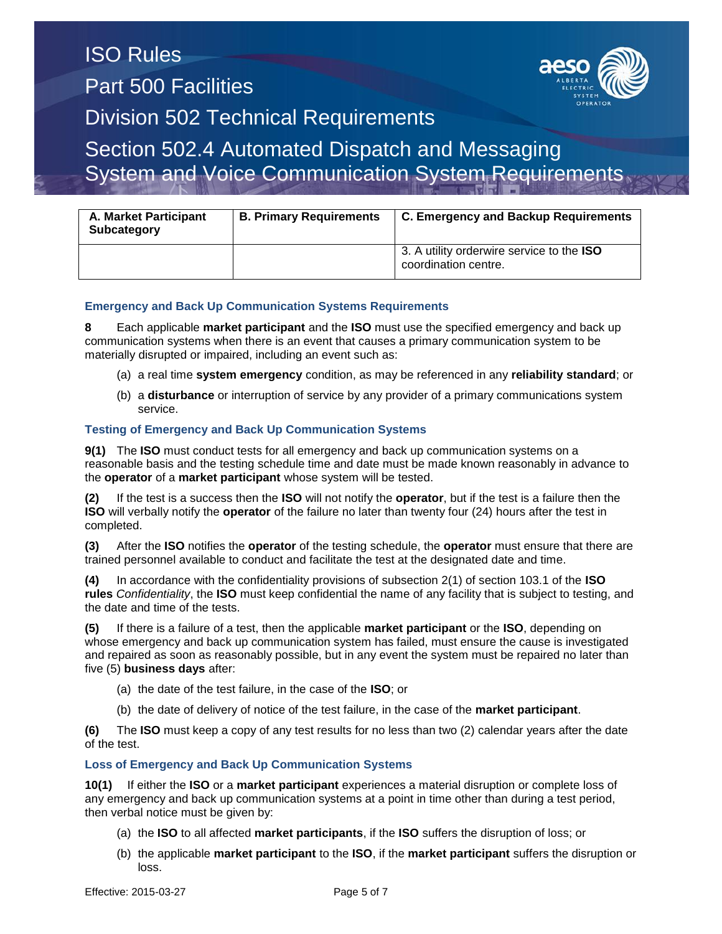System and Voice Communication System Requirements

| <b>A. Market Participant</b><br><b>Subcategory</b> | <b>B. Primary Requirements</b> | <b>C. Emergency and Backup Requirements</b>                              |
|----------------------------------------------------|--------------------------------|--------------------------------------------------------------------------|
|                                                    |                                | 3. A utility orderwire service to the <b>ISO</b><br>coordination centre. |

### **Emergency and Back Up Communication Systems Requirements**

**8** Each applicable **market participant** and the **ISO** must use the specified emergency and back up communication systems when there is an event that causes a primary communication system to be materially disrupted or impaired, including an event such as:

- (a) a real time **system emergency** condition, as may be referenced in any **reliability standard**; or
- (b) a **disturbance** or interruption of service by any provider of a primary communications system service.

### **Testing of Emergency and Back Up Communication Systems**

**9(1)** The **ISO** must conduct tests for all emergency and back up communication systems on a reasonable basis and the testing schedule time and date must be made known reasonably in advance to the **operator** of a **market participant** whose system will be tested.

**(2)** If the test is a success then the **ISO** will not notify the **operator**, but if the test is a failure then the **ISO** will verbally notify the **operator** of the failure no later than twenty four (24) hours after the test in completed.

**(3)** After the **ISO** notifies the **operator** of the testing schedule, the **operator** must ensure that there are trained personnel available to conduct and facilitate the test at the designated date and time.

**(4)** In accordance with the confidentiality provisions of subsection 2(1) of section 103.1 of the **ISO rules** *Confidentiality*, the **ISO** must keep confidential the name of any facility that is subject to testing, and the date and time of the tests.

**(5)** If there is a failure of a test, then the applicable **market participant** or the **ISO**, depending on whose emergency and back up communication system has failed, must ensure the cause is investigated and repaired as soon as reasonably possible, but in any event the system must be repaired no later than five (5) **business days** after:

- (a) the date of the test failure, in the case of the **ISO**; or
- (b) the date of delivery of notice of the test failure, in the case of the **market participant**.

**(6)** The **ISO** must keep a copy of any test results for no less than two (2) calendar years after the date of the test.

### **Loss of Emergency and Back Up Communication Systems**

**10(1)** If either the **ISO** or a **market participant** experiences a material disruption or complete loss of any emergency and back up communication systems at a point in time other than during a test period, then verbal notice must be given by:

- (a) the **ISO** to all affected **market participants**, if the **ISO** suffers the disruption of loss; or
- (b) the applicable **market participant** to the **ISO**, if the **market participant** suffers the disruption or loss.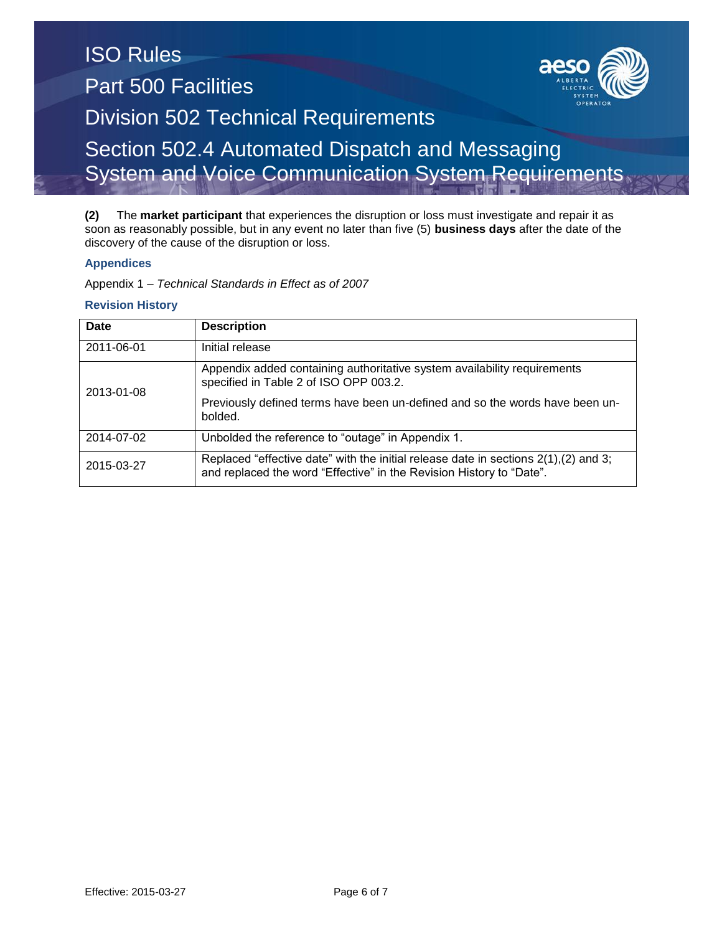### ISO Rules Part 500 Facilities Division 502 Technical Requirements Section 502.4 Automated Dispatch and Messaging System and Voice Communication System Requirements

**(2)** The **market participant** that experiences the disruption or loss must investigate and repair it as soon as reasonably possible, but in any event no later than five (5) **business days** after the date of the discovery of the cause of the disruption or loss.

### **Appendices**

Appendix 1 – *Technical Standards in Effect as of 2007*

### **Revision History**

| Date       | <b>Description</b>                                                                                                                                              |  |
|------------|-----------------------------------------------------------------------------------------------------------------------------------------------------------------|--|
| 2011-06-01 | Initial release                                                                                                                                                 |  |
| 2013-01-08 | Appendix added containing authoritative system availability requirements<br>specified in Table 2 of ISO OPP 003.2.                                              |  |
|            | Previously defined terms have been un-defined and so the words have been un-<br>bolded.                                                                         |  |
| 2014-07-02 | Unbolded the reference to "outage" in Appendix 1.                                                                                                               |  |
| 2015-03-27 | Replaced "effective date" with the initial release date in sections $2(1)$ , (2) and 3;<br>and replaced the word "Effective" in the Revision History to "Date". |  |